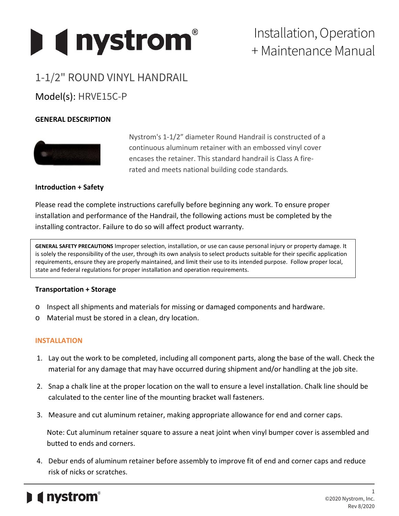

# Installation, Operation + Maintenance Manual

# 1-1/2" ROUND VINYL HANDRAIL Model(s): HRVE15C-P

## **GENERAL DESCRIPTION**



Nystrom's 1-1/2" diameter Round Handrail is constructed of a continuous aluminum retainer with an embossed vinyl cover encases the retainer. This standard handrail is Class A firerated and meets national building code standards*.*

### **Introduction + Safety**

Please read the complete instructions carefully before beginning any work. To ensure proper installation and performance of the Handrail, the following actions must be completed by the installing contractor. Failure to do so will affect product warranty.

**GENERAL SAFETY PRECAUTIONS** Improper selection, installation, or use can cause personal injury or property damage. It is solely the responsibility of the user, through its own analysis to select products suitable for their specific application requirements, ensure they are properly maintained, and limit their use to its intended purpose. Follow proper local, state and federal regulations for proper installation and operation requirements.

#### **Transportation + Storage**

- o Inspect all shipments and materials for missing or damaged components and hardware.
- o Material must be stored in a clean, dry location.

#### **INSTALLATION**

- 1. Lay out the work to be completed, including all component parts, along the base of the wall. Check the material for any damage that may have occurred during shipment and/or handling at the job site.
- 2. Snap a chalk line at the proper location on the wall to ensure a level installation. Chalk line should be calculated to the center line of the mounting bracket wall fasteners.
- 3. Measure and cut aluminum retainer, making appropriate allowance for end and corner caps.

Note: Cut aluminum retainer square to assure a neat joint when vinyl bumper cover is assembled and butted to ends and corners.

4. Debur ends of aluminum retainer before assembly to improve fit of end and corner caps and reduce risk of nicks or scratches.

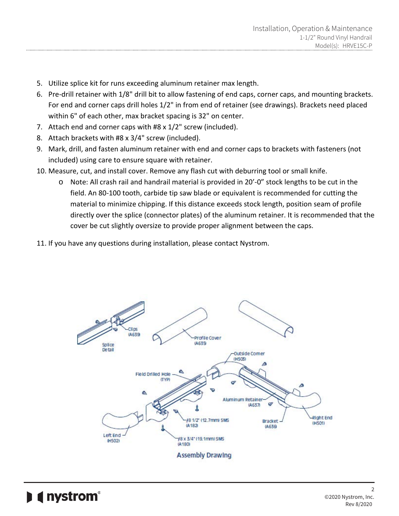- 5. Utilize splice kit for runs exceeding aluminum retainer max length.
- 6. Pre-drill retainer with 1/8" drill bit to allow fastening of end caps, corner caps, and mounting brackets. For end and corner caps drill holes 1/2" in from end of retainer (see drawings). Brackets need placed within 6" of each other, max bracket spacing is 32" on center.
- 7. Attach end and corner caps with #8 x 1/2" screw (included).
- 8. Attach brackets with #8 x 3/4" screw (included).
- 9. Mark, drill, and fasten aluminum retainer with end and corner caps to brackets with fasteners (not included) using care to ensure square with retainer.
- 10. Measure, cut, and install cover. Remove any flash cut with deburring tool or small knife.
	- o Note: All crash rail and handrail material is provided in 20'-0" stock lengths to be cut in the field. An 80-100 tooth, carbide tip saw blade or equivalent is recommended for cutting the material to minimize chipping. If this distance exceeds stock length, position seam of profile directly over the splice (connector plates) of the aluminum retainer. It is recommended that the cover be cut slightly oversize to provide proper alignment between the caps.
- 11. If you have any questions during installation, please contact Nystrom.

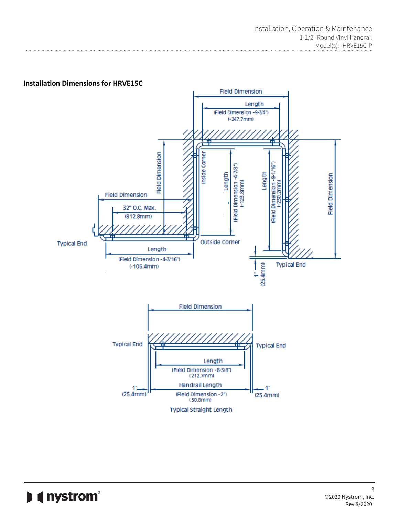

# **I** (nystrom<sup>®</sup>